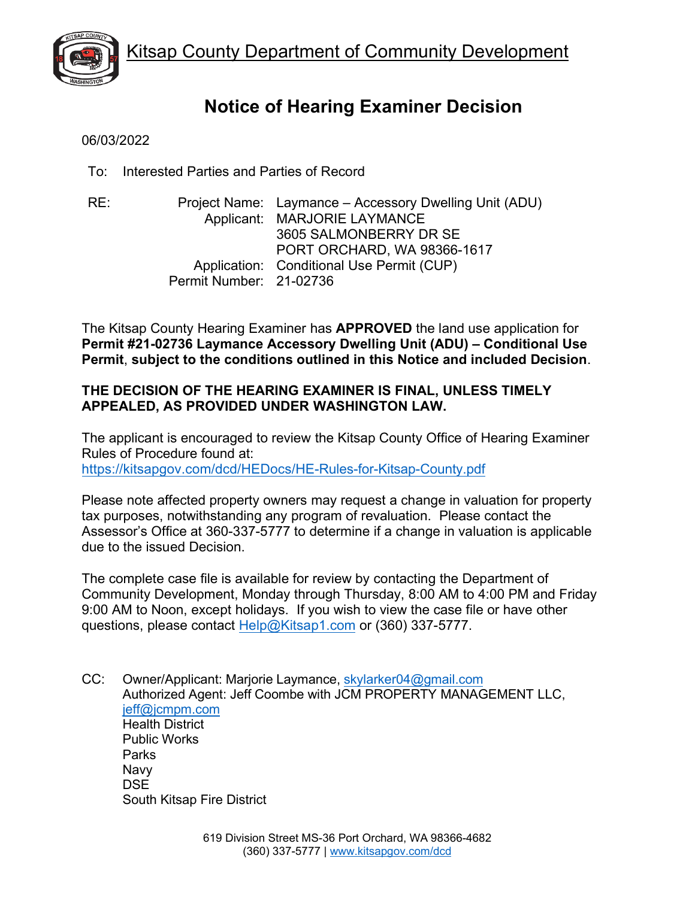

# **Notice of Hearing Examiner Decision**

06/03/2022

To: Interested Parties and Parties of Record

RE: Project Name: Laymance – Accessory Dwelling Unit (ADU) Applicant: MARJORIE LAYMANCE 3605 SALMONBERRY DR SE PORT ORCHARD, WA 98366-1617 Application: Conditional Use Permit (CUP) Permit Number: 21-02736

The Kitsap County Hearing Examiner has **APPROVED** the land use application for **Permit #21-02736 Laymance Accessory Dwelling Unit (ADU) – Conditional Use Permit**, **subject to the conditions outlined in this Notice and included Decision**.

# **THE DECISION OF THE HEARING EXAMINER IS FINAL, UNLESS TIMELY APPEALED, AS PROVIDED UNDER WASHINGTON LAW.**

The applicant is encouraged to review the Kitsap County Office of Hearing Examiner Rules of Procedure found at: [https://kitsapgov.com/dcd/HEDocs/HE-Rules-for-Kitsap-County.pdf](https://spf.kitsapgov.com/dcd/HEDocs/HE-Rules-for-Kitsap-County.pdf)

Please note affected property owners may request a change in valuation for property tax purposes, notwithstanding any program of revaluation. Please contact the Assessor's Office at 360-337-5777 to determine if a change in valuation is applicable due to the issued Decision.

The complete case file is available for review by contacting the Department of Community Development, Monday through Thursday, 8:00 AM to 4:00 PM and Friday 9:00 AM to Noon, except holidays. If you wish to view the case file or have other questions, please contact [Help@Kitsap1.com](mailto:Help@Kitsap1.com) or (360) 337-5777.

CC: Owner/Applicant: Marjorie Laymance, [skylarker04@gmail.com](mailto:skylarker04@gmail.com) Authorized Agent: Jeff Coombe with JCM PROPERTY MANAGEMENT LLC, [jeff@jcmpm.com](mailto:jeff@jcmpm.com) Health District Public Works Parks Navy DSE South Kitsap Fire District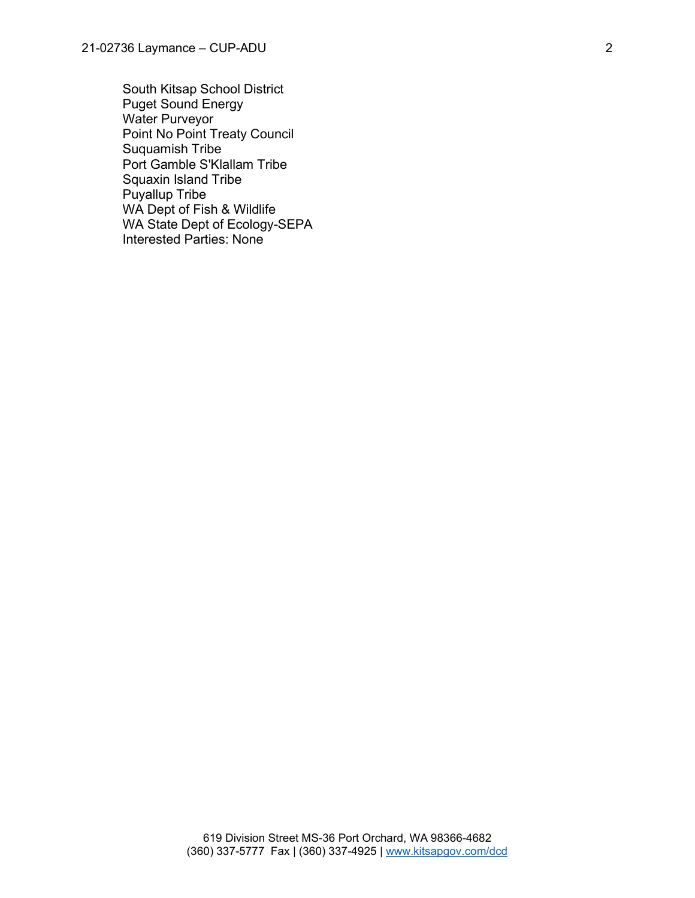South Kitsap School District Puget Sound Energy Water Purveyor Point No Point Treaty Council Suquamish Tribe Port Gamble S'Klallam Tribe Squaxin Island Tribe Puyallup Tribe WA Dept of Fish & Wildlife WA State Dept of Ecology-SEPA Interested Parties: None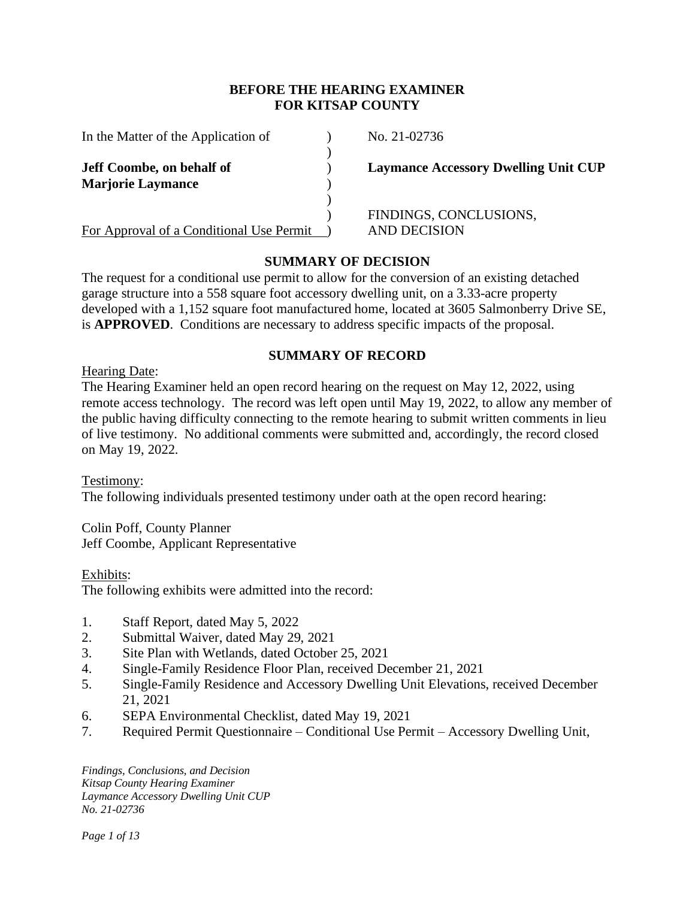## **BEFORE THE HEARING EXAMINER FOR KITSAP COUNTY**

| In the Matter of the Application of      | No. $21 - 02736$       |
|------------------------------------------|------------------------|
|                                          |                        |
| <b>Jeff Coombe, on behalf of</b>         | <b>Laymance Access</b> |
| <b>Marjorie Laymance</b>                 |                        |
|                                          |                        |
|                                          | <b>FINDINGS, CON</b>   |
| For Approval of a Conditional Use Permit | <b>AND DECISION</b>    |

No. 21-02736

**Laymance Accessory Dwelling Unit CUP** 

) FINDINGS, CONCLUSIONS,

# **SUMMARY OF DECISION**

The request for a conditional use permit to allow for the conversion of an existing detached garage structure into a 558 square foot accessory dwelling unit, on a 3.33-acre property developed with a 1,152 square foot manufactured home, located at 3605 Salmonberry Drive SE, is **APPROVED**. Conditions are necessary to address specific impacts of the proposal.

# **SUMMARY OF RECORD**

#### Hearing Date:

The Hearing Examiner held an open record hearing on the request on May 12, 2022, using remote access technology. The record was left open until May 19, 2022, to allow any member of the public having difficulty connecting to the remote hearing to submit written comments in lieu of live testimony. No additional comments were submitted and, accordingly, the record closed on May 19, 2022.

Testimony: The following individuals presented testimony under oath at the open record hearing:

Colin Poff, County Planner Jeff Coombe, Applicant Representative

Exhibits:

The following exhibits were admitted into the record:

- 1. Staff Report, dated May 5, 2022
- 2. Submittal Waiver, dated May 29, 2021
- 3. Site Plan with Wetlands, dated October 25, 2021
- 4. Single-Family Residence Floor Plan, received December 21, 2021
- 5. Single-Family Residence and Accessory Dwelling Unit Elevations, received December 21, 2021
- 6. SEPA Environmental Checklist, dated May 19, 2021
- 7. Required Permit Questionnaire Conditional Use Permit Accessory Dwelling Unit,

*Findings, Conclusions, and Decision Kitsap County Hearing Examiner Laymance Accessory Dwelling Unit CUP No. 21-02736*

*Page 1 of 13*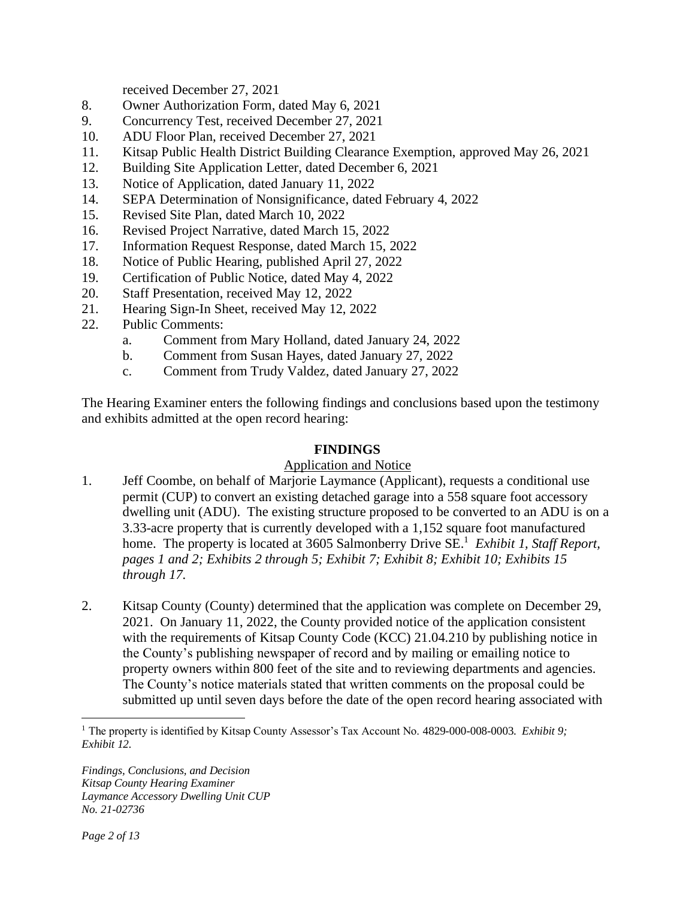received December 27, 2021

- 8. Owner Authorization Form, dated May 6, 2021
- 9. Concurrency Test, received December 27, 2021
- 10. ADU Floor Plan, received December 27, 2021
- 11. Kitsap Public Health District Building Clearance Exemption, approved May 26, 2021
- 12. Building Site Application Letter, dated December 6, 2021
- 13. Notice of Application, dated January 11, 2022
- 14. SEPA Determination of Nonsignificance, dated February 4, 2022
- 15. Revised Site Plan, dated March 10, 2022
- 16. Revised Project Narrative, dated March 15, 2022
- 17. Information Request Response, dated March 15, 2022
- 18. Notice of Public Hearing, published April 27, 2022
- 19. Certification of Public Notice, dated May 4, 2022
- 20. Staff Presentation, received May 12, 2022
- 21. Hearing Sign-In Sheet, received May 12, 2022
- 22. Public Comments:
	- a. Comment from Mary Holland, dated January 24, 2022
	- b. Comment from Susan Hayes, dated January 27, 2022
	- c. Comment from Trudy Valdez, dated January 27, 2022

The Hearing Examiner enters the following findings and conclusions based upon the testimony and exhibits admitted at the open record hearing:

#### **FINDINGS**

#### Application and Notice

- 1. Jeff Coombe, on behalf of Marjorie Laymance (Applicant), requests a conditional use permit (CUP) to convert an existing detached garage into a 558 square foot accessory dwelling unit (ADU). The existing structure proposed to be converted to an ADU is on a 3.33-acre property that is currently developed with a 1,152 square foot manufactured home. The property is located at 3605 Salmonberry Drive SE.<sup>1</sup> *Exhibit 1, Staff Report, pages 1 and 2; Exhibits 2 through 5; Exhibit 7; Exhibit 8; Exhibit 10; Exhibits 15 through 17.*
- 2. Kitsap County (County) determined that the application was complete on December 29, 2021. On January 11, 2022, the County provided notice of the application consistent with the requirements of Kitsap County Code (KCC) 21.04.210 by publishing notice in the County's publishing newspaper of record and by mailing or emailing notice to property owners within 800 feet of the site and to reviewing departments and agencies. The County's notice materials stated that written comments on the proposal could be submitted up until seven days before the date of the open record hearing associated with

<sup>1</sup> The property is identified by Kitsap County Assessor's Tax Account No. 4829-000-008-0003. *Exhibit 9; Exhibit 12.*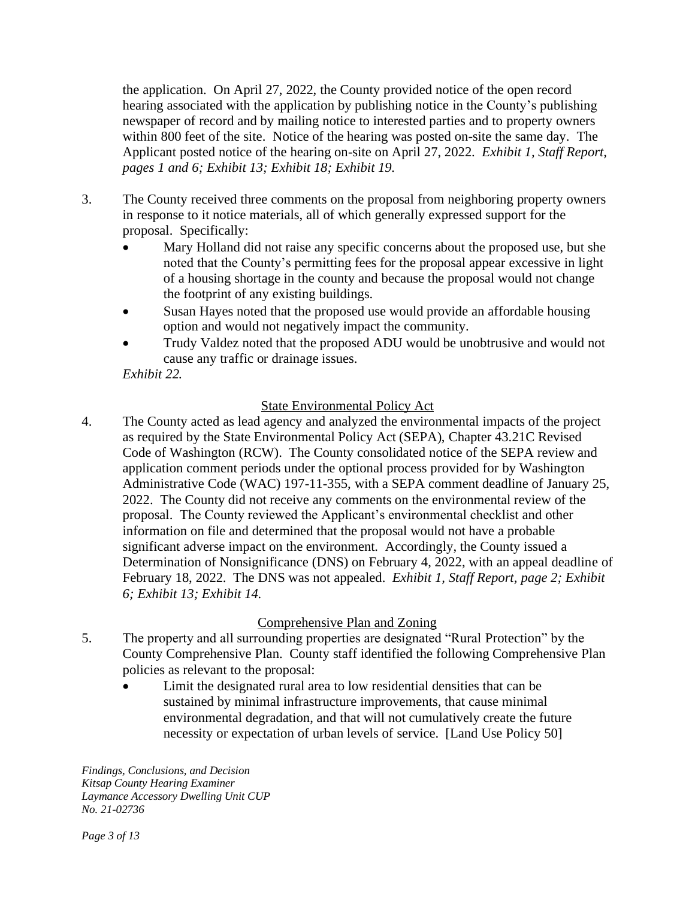the application. On April 27, 2022, the County provided notice of the open record hearing associated with the application by publishing notice in the County's publishing newspaper of record and by mailing notice to interested parties and to property owners within 800 feet of the site. Notice of the hearing was posted on-site the same day. The Applicant posted notice of the hearing on-site on April 27, 2022. *Exhibit 1, Staff Report, pages 1 and 6; Exhibit 13; Exhibit 18; Exhibit 19.*

- 3. The County received three comments on the proposal from neighboring property owners in response to it notice materials, all of which generally expressed support for the proposal. Specifically:
	- Mary Holland did not raise any specific concerns about the proposed use, but she noted that the County's permitting fees for the proposal appear excessive in light of a housing shortage in the county and because the proposal would not change the footprint of any existing buildings.
	- Susan Hayes noted that the proposed use would provide an affordable housing option and would not negatively impact the community.
	- Trudy Valdez noted that the proposed ADU would be unobtrusive and would not cause any traffic or drainage issues.

*Exhibit 22.*

# State Environmental Policy Act

4. The County acted as lead agency and analyzed the environmental impacts of the project as required by the State Environmental Policy Act (SEPA), Chapter 43.21C Revised Code of Washington (RCW). The County consolidated notice of the SEPA review and application comment periods under the optional process provided for by Washington Administrative Code (WAC) 197-11-355, with a SEPA comment deadline of January 25, 2022. The County did not receive any comments on the environmental review of the proposal. The County reviewed the Applicant's environmental checklist and other information on file and determined that the proposal would not have a probable significant adverse impact on the environment. Accordingly, the County issued a Determination of Nonsignificance (DNS) on February 4, 2022, with an appeal deadline of February 18, 2022. The DNS was not appealed. *Exhibit 1, Staff Report, page 2; Exhibit 6; Exhibit 13; Exhibit 14.*

## Comprehensive Plan and Zoning

- 5. The property and all surrounding properties are designated "Rural Protection" by the County Comprehensive Plan. County staff identified the following Comprehensive Plan policies as relevant to the proposal:
	- Limit the designated rural area to low residential densities that can be sustained by minimal infrastructure improvements, that cause minimal environmental degradation, and that will not cumulatively create the future necessity or expectation of urban levels of service. [Land Use Policy 50]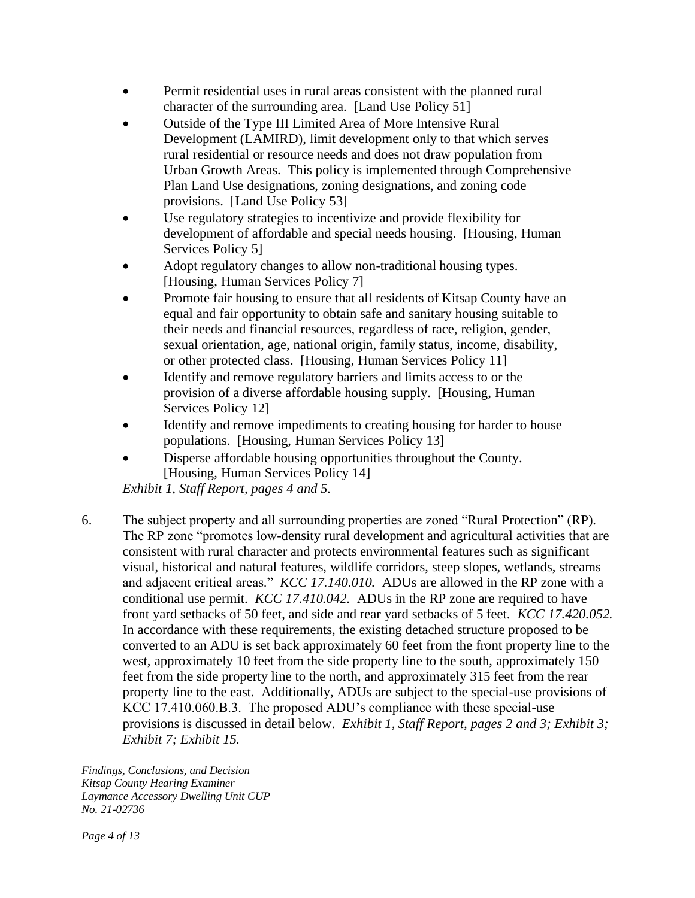- Permit residential uses in rural areas consistent with the planned rural character of the surrounding area. [Land Use Policy 51]
- Outside of the Type III Limited Area of More Intensive Rural Development (LAMIRD), limit development only to that which serves rural residential or resource needs and does not draw population from Urban Growth Areas. This policy is implemented through Comprehensive Plan Land Use designations, zoning designations, and zoning code provisions. [Land Use Policy 53]
- Use regulatory strategies to incentivize and provide flexibility for development of affordable and special needs housing. [Housing, Human Services Policy 5]
- Adopt regulatory changes to allow non-traditional housing types. [Housing, Human Services Policy 7]
- Promote fair housing to ensure that all residents of Kitsap County have an equal and fair opportunity to obtain safe and sanitary housing suitable to their needs and financial resources, regardless of race, religion, gender, sexual orientation, age, national origin, family status, income, disability, or other protected class. [Housing, Human Services Policy 11]
- Identify and remove regulatory barriers and limits access to or the provision of a diverse affordable housing supply. [Housing, Human Services Policy 12]
- Identify and remove impediments to creating housing for harder to house populations. [Housing, Human Services Policy 13]
- Disperse affordable housing opportunities throughout the County. [Housing, Human Services Policy 14]

*Exhibit 1, Staff Report, pages 4 and 5.*

6. The subject property and all surrounding properties are zoned "Rural Protection" (RP). The RP zone "promotes low-density rural development and agricultural activities that are consistent with rural character and protects environmental features such as significant visual, historical and natural features, wildlife corridors, steep slopes, wetlands, streams and adjacent critical areas." *KCC 17.140.010.* ADUs are allowed in the RP zone with a conditional use permit. *KCC 17.410.042.* ADUs in the RP zone are required to have front yard setbacks of 50 feet, and side and rear yard setbacks of 5 feet. *KCC 17.420.052.*  In accordance with these requirements, the existing detached structure proposed to be converted to an ADU is set back approximately 60 feet from the front property line to the west, approximately 10 feet from the side property line to the south, approximately 150 feet from the side property line to the north, and approximately 315 feet from the rear property line to the east. Additionally, ADUs are subject to the special-use provisions of KCC 17.410.060.B.3. The proposed ADU's compliance with these special-use provisions is discussed in detail below. *Exhibit 1, Staff Report, pages 2 and 3; Exhibit 3; Exhibit 7; Exhibit 15.*

*Findings, Conclusions, and Decision Kitsap County Hearing Examiner Laymance Accessory Dwelling Unit CUP No. 21-02736*

*Page 4 of 13*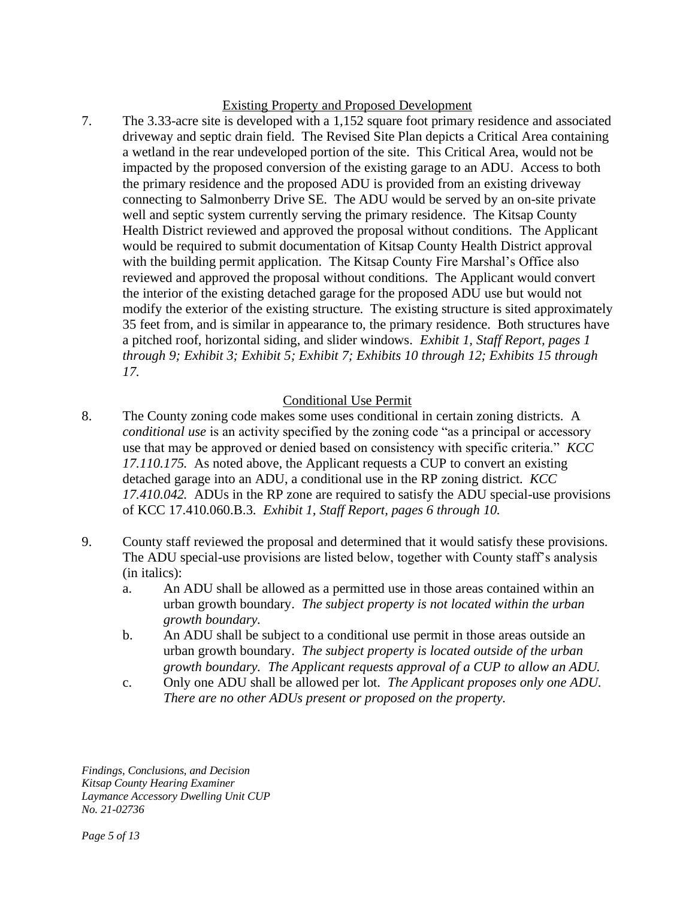## Existing Property and Proposed Development

7. The 3.33-acre site is developed with a 1,152 square foot primary residence and associated driveway and septic drain field. The Revised Site Plan depicts a Critical Area containing a wetland in the rear undeveloped portion of the site. This Critical Area, would not be impacted by the proposed conversion of the existing garage to an ADU. Access to both the primary residence and the proposed ADU is provided from an existing driveway connecting to Salmonberry Drive SE. The ADU would be served by an on-site private well and septic system currently serving the primary residence. The Kitsap County Health District reviewed and approved the proposal without conditions. The Applicant would be required to submit documentation of Kitsap County Health District approval with the building permit application. The Kitsap County Fire Marshal's Office also reviewed and approved the proposal without conditions. The Applicant would convert the interior of the existing detached garage for the proposed ADU use but would not modify the exterior of the existing structure. The existing structure is sited approximately 35 feet from, and is similar in appearance to, the primary residence. Both structures have a pitched roof, horizontal siding, and slider windows. *Exhibit 1, Staff Report, pages 1 through 9; Exhibit 3; Exhibit 5; Exhibit 7; Exhibits 10 through 12; Exhibits 15 through 17.*

# Conditional Use Permit

- 8. The County zoning code makes some uses conditional in certain zoning districts. A *conditional use* is an activity specified by the zoning code "as a principal or accessory use that may be approved or denied based on consistency with specific criteria." *KCC 17.110.175.* As noted above, the Applicant requests a CUP to convert an existing detached garage into an ADU, a conditional use in the RP zoning district. *KCC 17.410.042.* ADUs in the RP zone are required to satisfy the ADU special-use provisions of KCC 17.410.060.B.3. *Exhibit 1, Staff Report, pages 6 through 10.*
- 9. County staff reviewed the proposal and determined that it would satisfy these provisions. The ADU special-use provisions are listed below, together with County staff's analysis (in italics):
	- a. An ADU shall be allowed as a permitted use in those areas contained within an urban growth boundary. *The subject property is not located within the urban growth boundary.*
	- b. An ADU shall be subject to a conditional use permit in those areas outside an urban growth boundary. *The subject property is located outside of the urban growth boundary. The Applicant requests approval of a CUP to allow an ADU.*
	- c. Only one ADU shall be allowed per lot. *The Applicant proposes only one ADU. There are no other ADUs present or proposed on the property.*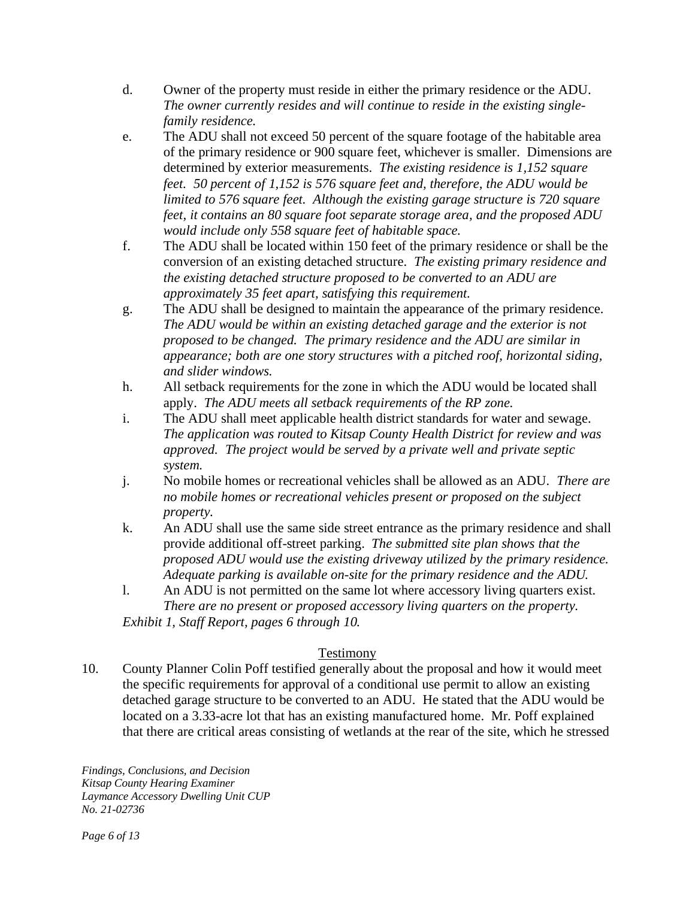- d. Owner of the property must reside in either the primary residence or the ADU. *The owner currently resides and will continue to reside in the existing singlefamily residence.*
- e. The ADU shall not exceed 50 percent of the square footage of the habitable area of the primary residence or 900 square feet, whichever is smaller. Dimensions are determined by exterior measurements. *The existing residence is 1,152 square feet. 50 percent of 1,152 is 576 square feet and, therefore, the ADU would be limited to 576 square feet. Although the existing garage structure is 720 square feet, it contains an 80 square foot separate storage area, and the proposed ADU would include only 558 square feet of habitable space.*
- f. The ADU shall be located within 150 feet of the primary residence or shall be the conversion of an existing detached structure. *The existing primary residence and the existing detached structure proposed to be converted to an ADU are approximately 35 feet apart, satisfying this requirement.*
- g. The ADU shall be designed to maintain the appearance of the primary residence. *The ADU would be within an existing detached garage and the exterior is not proposed to be changed. The primary residence and the ADU are similar in appearance; both are one story structures with a pitched roof, horizontal siding, and slider windows.*
- h. All setback requirements for the zone in which the ADU would be located shall apply. *The ADU meets all setback requirements of the RP zone.*
- i. The ADU shall meet applicable health district standards for water and sewage. *The application was routed to Kitsap County Health District for review and was approved. The project would be served by a private well and private septic system.*
- j. No mobile homes or recreational vehicles shall be allowed as an ADU. *There are no mobile homes or recreational vehicles present or proposed on the subject property.*
- k. An ADU shall use the same side street entrance as the primary residence and shall provide additional off-street parking. *The submitted site plan shows that the proposed ADU would use the existing driveway utilized by the primary residence. Adequate parking is available on-site for the primary residence and the ADU.*
- l. An ADU is not permitted on the same lot where accessory living quarters exist. *There are no present or proposed accessory living quarters on the property.*

*Exhibit 1, Staff Report, pages 6 through 10.* 

# Testimony

10. County Planner Colin Poff testified generally about the proposal and how it would meet the specific requirements for approval of a conditional use permit to allow an existing detached garage structure to be converted to an ADU. He stated that the ADU would be located on a 3.33-acre lot that has an existing manufactured home. Mr. Poff explained that there are critical areas consisting of wetlands at the rear of the site, which he stressed

*Findings, Conclusions, and Decision Kitsap County Hearing Examiner Laymance Accessory Dwelling Unit CUP No. 21-02736*

*Page 6 of 13*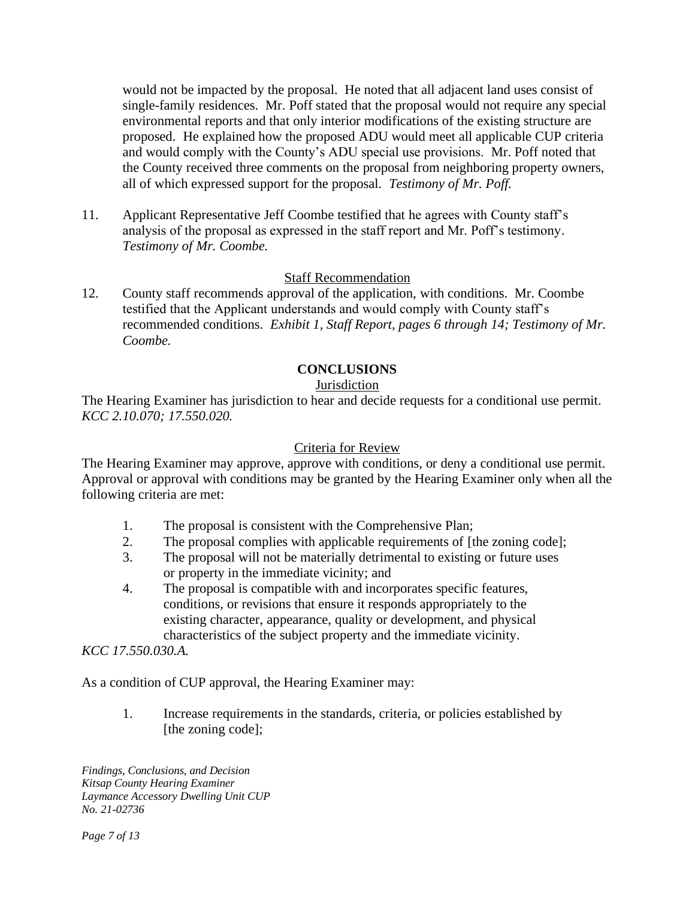would not be impacted by the proposal. He noted that all adjacent land uses consist of single-family residences. Mr. Poff stated that the proposal would not require any special environmental reports and that only interior modifications of the existing structure are proposed. He explained how the proposed ADU would meet all applicable CUP criteria and would comply with the County's ADU special use provisions. Mr. Poff noted that the County received three comments on the proposal from neighboring property owners, all of which expressed support for the proposal. *Testimony of Mr. Poff.*

11. Applicant Representative Jeff Coombe testified that he agrees with County staff's analysis of the proposal as expressed in the staff report and Mr. Poff's testimony. *Testimony of Mr. Coombe.*

#### Staff Recommendation

12. County staff recommends approval of the application, with conditions. Mr. Coombe testified that the Applicant understands and would comply with County staff's recommended conditions. *Exhibit 1, Staff Report, pages 6 through 14; Testimony of Mr. Coombe.*

## **CONCLUSIONS**

## **Jurisdiction**

The Hearing Examiner has jurisdiction to hear and decide requests for a conditional use permit. *KCC 2.10.070; 17.550.020.*

#### Criteria for Review

The Hearing Examiner may approve, approve with conditions, or deny a conditional use permit. Approval or approval with conditions may be granted by the Hearing Examiner only when all the following criteria are met:

- 1. The proposal is consistent with the Comprehensive Plan;
- 2. The proposal complies with applicable requirements of [the zoning code];
- 3. The proposal will not be materially detrimental to existing or future uses or property in the immediate vicinity; and
- 4. The proposal is compatible with and incorporates specific features, conditions, or revisions that ensure it responds appropriately to the existing character, appearance, quality or development, and physical characteristics of the subject property and the immediate vicinity.

*KCC 17.550.030.A.*

As a condition of CUP approval, the Hearing Examiner may:

1. Increase requirements in the standards, criteria, or policies established by [the zoning code];

*Findings, Conclusions, and Decision Kitsap County Hearing Examiner Laymance Accessory Dwelling Unit CUP No. 21-02736*

*Page 7 of 13*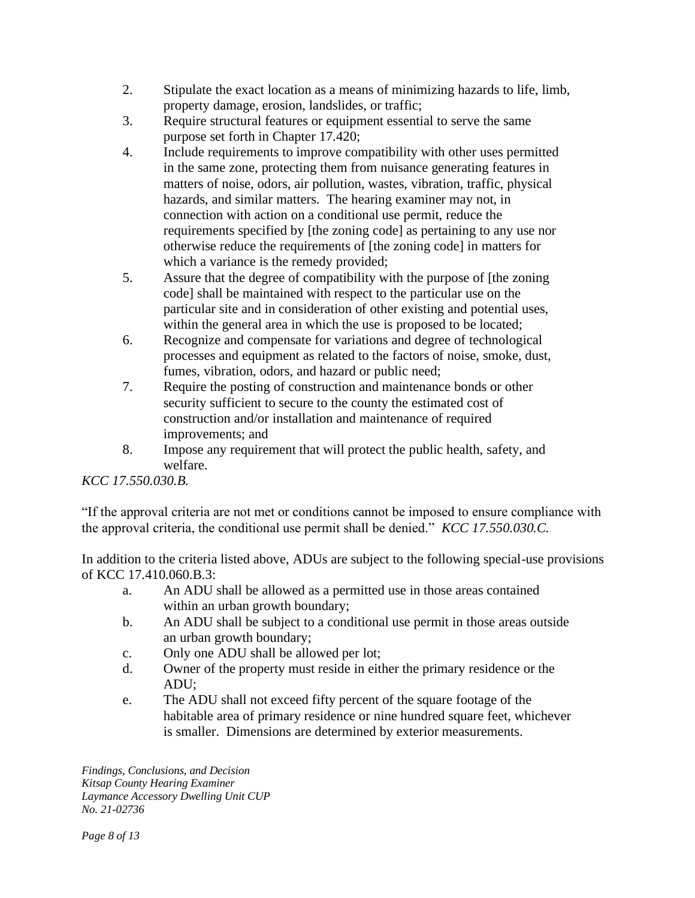- 2. Stipulate the exact location as a means of minimizing hazards to life, limb, property damage, erosion, landslides, or traffic;
- 3. Require structural features or equipment essential to serve the same purpose set forth in Chapter 17.420;
- 4. Include requirements to improve compatibility with other uses permitted in the same zone, protecting them from nuisance generating features in matters of noise, odors, air pollution, wastes, vibration, traffic, physical hazards, and similar matters. The hearing examiner may not, in connection with action on a conditional use permit, reduce the requirements specified by [the zoning code] as pertaining to any use nor otherwise reduce the requirements of [the zoning code] in matters for which a variance is the remedy provided;
- 5. Assure that the degree of compatibility with the purpose of [the zoning code] shall be maintained with respect to the particular use on the particular site and in consideration of other existing and potential uses, within the general area in which the use is proposed to be located;
- 6. Recognize and compensate for variations and degree of technological processes and equipment as related to the factors of noise, smoke, dust, fumes, vibration, odors, and hazard or public need;
- 7. Require the posting of construction and maintenance bonds or other security sufficient to secure to the county the estimated cost of construction and/or installation and maintenance of required improvements; and
- 8. Impose any requirement that will protect the public health, safety, and welfare.

## *KCC 17.550.030.B.*

"If the approval criteria are not met or conditions cannot be imposed to ensure compliance with the approval criteria, the conditional use permit shall be denied." *KCC 17.550.030.C.*

In addition to the criteria listed above, ADUs are subject to the following special-use provisions of KCC 17.410.060.B.3:

- a. An ADU shall be allowed as a permitted use in those areas contained within an urban growth boundary;
- b. An ADU shall be subject to a conditional use permit in those areas outside an urban growth boundary;
- c. Only one ADU shall be allowed per lot;
- d. Owner of the property must reside in either the primary residence or the ADU;
- e. The ADU shall not exceed fifty percent of the square footage of the habitable area of primary residence or nine hundred square feet, whichever is smaller. Dimensions are determined by exterior measurements.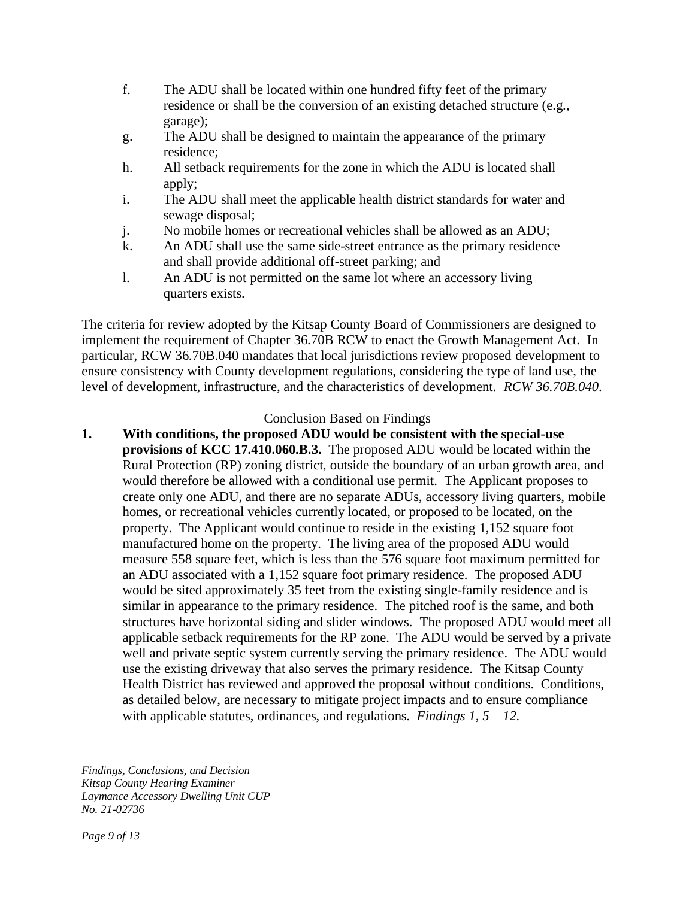- f. The ADU shall be located within one hundred fifty feet of the primary residence or shall be the conversion of an existing detached structure (e.g., garage);
- g. The ADU shall be designed to maintain the appearance of the primary residence;
- h. All setback requirements for the zone in which the ADU is located shall apply;
- i. The ADU shall meet the applicable health district standards for water and sewage disposal;
- j. No mobile homes or recreational vehicles shall be allowed as an ADU;
- k. An ADU shall use the same side-street entrance as the primary residence and shall provide additional off-street parking; and
- l. An ADU is not permitted on the same lot where an accessory living quarters exists.

The criteria for review adopted by the Kitsap County Board of Commissioners are designed to implement the requirement of Chapter 36.70B RCW to enact the Growth Management Act. In particular, RCW 36.70B.040 mandates that local jurisdictions review proposed development to ensure consistency with County development regulations, considering the type of land use, the level of development, infrastructure, and the characteristics of development. *RCW 36.70B.040*.

#### Conclusion Based on Findings

**1. With conditions, the proposed ADU would be consistent with the special-use provisions of KCC 17.410.060.B.3.** The proposed ADU would be located within the Rural Protection (RP) zoning district, outside the boundary of an urban growth area, and would therefore be allowed with a conditional use permit. The Applicant proposes to create only one ADU, and there are no separate ADUs, accessory living quarters, mobile homes, or recreational vehicles currently located, or proposed to be located, on the property. The Applicant would continue to reside in the existing 1,152 square foot manufactured home on the property. The living area of the proposed ADU would measure 558 square feet, which is less than the 576 square foot maximum permitted for an ADU associated with a 1,152 square foot primary residence. The proposed ADU would be sited approximately 35 feet from the existing single-family residence and is similar in appearance to the primary residence. The pitched roof is the same, and both structures have horizontal siding and slider windows. The proposed ADU would meet all applicable setback requirements for the RP zone. The ADU would be served by a private well and private septic system currently serving the primary residence. The ADU would use the existing driveway that also serves the primary residence. The Kitsap County Health District has reviewed and approved the proposal without conditions. Conditions, as detailed below, are necessary to mitigate project impacts and to ensure compliance with applicable statutes, ordinances, and regulations. *Findings 1, 5 – 12.*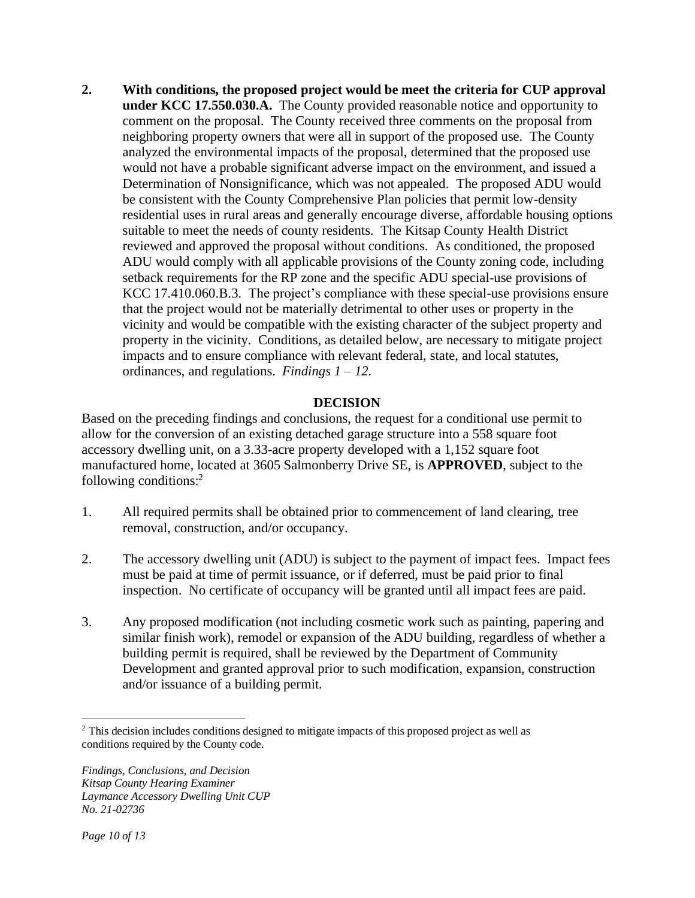**2. With conditions, the proposed project would be meet the criteria for CUP approval under KCC 17.550.030.A.** The County provided reasonable notice and opportunity to comment on the proposal. The County received three comments on the proposal from neighboring property owners that were all in support of the proposed use. The County analyzed the environmental impacts of the proposal, determined that the proposed use would not have a probable significant adverse impact on the environment, and issued a Determination of Nonsignificance, which was not appealed. The proposed ADU would be consistent with the County Comprehensive Plan policies that permit low-density residential uses in rural areas and generally encourage diverse, affordable housing options suitable to meet the needs of county residents. The Kitsap County Health District reviewed and approved the proposal without conditions. As conditioned, the proposed ADU would comply with all applicable provisions of the County zoning code, including setback requirements for the RP zone and the specific ADU special-use provisions of KCC 17.410.060.B.3. The project's compliance with these special-use provisions ensure that the project would not be materially detrimental to other uses or property in the vicinity and would be compatible with the existing character of the subject property and property in the vicinity. Conditions, as detailed below, are necessary to mitigate project impacts and to ensure compliance with relevant federal, state, and local statutes, ordinances, and regulations. *Findings 1 – 12.*

## **DECISION**

Based on the preceding findings and conclusions, the request for a conditional use permit to allow for the conversion of an existing detached garage structure into a 558 square foot accessory dwelling unit, on a 3.33-acre property developed with a 1,152 square foot manufactured home, located at 3605 Salmonberry Drive SE, is **APPROVED**, subject to the following conditions:<sup>2</sup>

- 1. All required permits shall be obtained prior to commencement of land clearing, tree removal, construction, and/or occupancy.
- 2. The accessory dwelling unit (ADU) is subject to the payment of impact fees. Impact fees must be paid at time of permit issuance, or if deferred, must be paid prior to final inspection. No certificate of occupancy will be granted until all impact fees are paid.
- 3. Any proposed modification (not including cosmetic work such as painting, papering and similar finish work), remodel or expansion of the ADU building, regardless of whether a building permit is required, shall be reviewed by the Department of Community Development and granted approval prior to such modification, expansion, construction and/or issuance of a building permit.

<sup>&</sup>lt;sup>2</sup> This decision includes conditions designed to mitigate impacts of this proposed project as well as conditions required by the County code.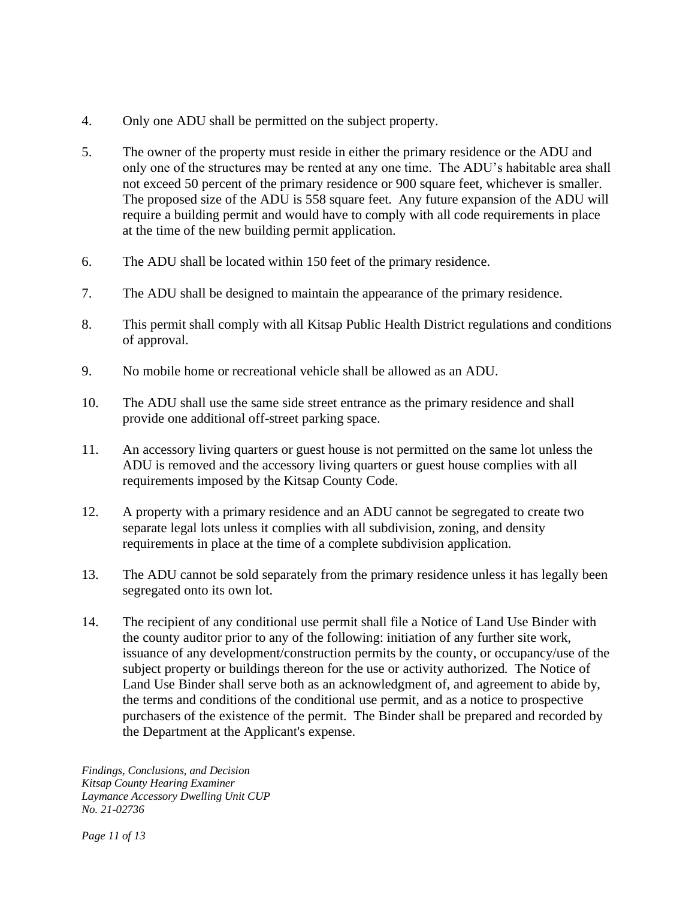- 4. Only one ADU shall be permitted on the subject property.
- 5. The owner of the property must reside in either the primary residence or the ADU and only one of the structures may be rented at any one time. The ADU's habitable area shall not exceed 50 percent of the primary residence or 900 square feet, whichever is smaller. The proposed size of the ADU is 558 square feet. Any future expansion of the ADU will require a building permit and would have to comply with all code requirements in place at the time of the new building permit application.
- 6. The ADU shall be located within 150 feet of the primary residence.
- 7. The ADU shall be designed to maintain the appearance of the primary residence.
- 8. This permit shall comply with all Kitsap Public Health District regulations and conditions of approval.
- 9. No mobile home or recreational vehicle shall be allowed as an ADU.
- 10. The ADU shall use the same side street entrance as the primary residence and shall provide one additional off-street parking space.
- 11. An accessory living quarters or guest house is not permitted on the same lot unless the ADU is removed and the accessory living quarters or guest house complies with all requirements imposed by the Kitsap County Code.
- 12. A property with a primary residence and an ADU cannot be segregated to create two separate legal lots unless it complies with all subdivision, zoning, and density requirements in place at the time of a complete subdivision application.
- 13. The ADU cannot be sold separately from the primary residence unless it has legally been segregated onto its own lot.
- 14. The recipient of any conditional use permit shall file a Notice of Land Use Binder with the county auditor prior to any of the following: initiation of any further site work, issuance of any development/construction permits by the county, or occupancy/use of the subject property or buildings thereon for the use or activity authorized. The Notice of Land Use Binder shall serve both as an acknowledgment of, and agreement to abide by, the terms and conditions of the conditional use permit, and as a notice to prospective purchasers of the existence of the permit. The Binder shall be prepared and recorded by the Department at the Applicant's expense.

*Findings, Conclusions, and Decision Kitsap County Hearing Examiner Laymance Accessory Dwelling Unit CUP No. 21-02736*

*Page 11 of 13*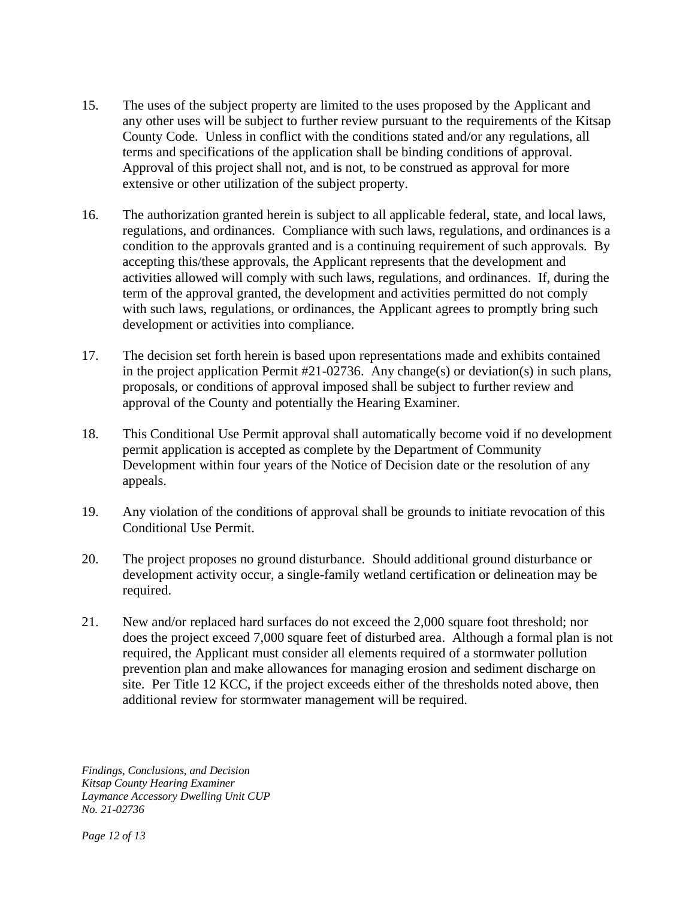- 15. The uses of the subject property are limited to the uses proposed by the Applicant and any other uses will be subject to further review pursuant to the requirements of the Kitsap County Code. Unless in conflict with the conditions stated and/or any regulations, all terms and specifications of the application shall be binding conditions of approval. Approval of this project shall not, and is not, to be construed as approval for more extensive or other utilization of the subject property.
- 16. The authorization granted herein is subject to all applicable federal, state, and local laws, regulations, and ordinances. Compliance with such laws, regulations, and ordinances is a condition to the approvals granted and is a continuing requirement of such approvals. By accepting this/these approvals, the Applicant represents that the development and activities allowed will comply with such laws, regulations, and ordinances. If, during the term of the approval granted, the development and activities permitted do not comply with such laws, regulations, or ordinances, the Applicant agrees to promptly bring such development or activities into compliance.
- 17. The decision set forth herein is based upon representations made and exhibits contained in the project application Permit #21-02736. Any change(s) or deviation(s) in such plans, proposals, or conditions of approval imposed shall be subject to further review and approval of the County and potentially the Hearing Examiner.
- 18. This Conditional Use Permit approval shall automatically become void if no development permit application is accepted as complete by the Department of Community Development within four years of the Notice of Decision date or the resolution of any appeals.
- 19. Any violation of the conditions of approval shall be grounds to initiate revocation of this Conditional Use Permit.
- 20. The project proposes no ground disturbance. Should additional ground disturbance or development activity occur, a single-family wetland certification or delineation may be required.
- 21. New and/or replaced hard surfaces do not exceed the 2,000 square foot threshold; nor does the project exceed 7,000 square feet of disturbed area. Although a formal plan is not required, the Applicant must consider all elements required of a stormwater pollution prevention plan and make allowances for managing erosion and sediment discharge on site. Per Title 12 KCC, if the project exceeds either of the thresholds noted above, then additional review for stormwater management will be required.